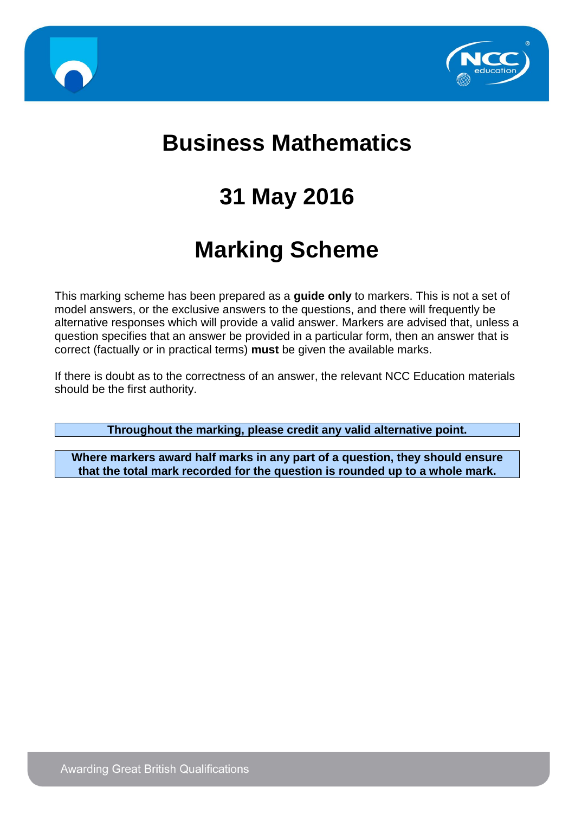



# **Business Mathematics**

# **31 May 2016**

# **Marking Scheme**

This marking scheme has been prepared as a **guide only** to markers. This is not a set of model answers, or the exclusive answers to the questions, and there will frequently be alternative responses which will provide a valid answer. Markers are advised that, unless a question specifies that an answer be provided in a particular form, then an answer that is correct (factually or in practical terms) **must** be given the available marks.

If there is doubt as to the correctness of an answer, the relevant NCC Education materials should be the first authority.

**Throughout the marking, please credit any valid alternative point.**

**Where markers award half marks in any part of a question, they should ensure that the total mark recorded for the question is rounded up to a whole mark.**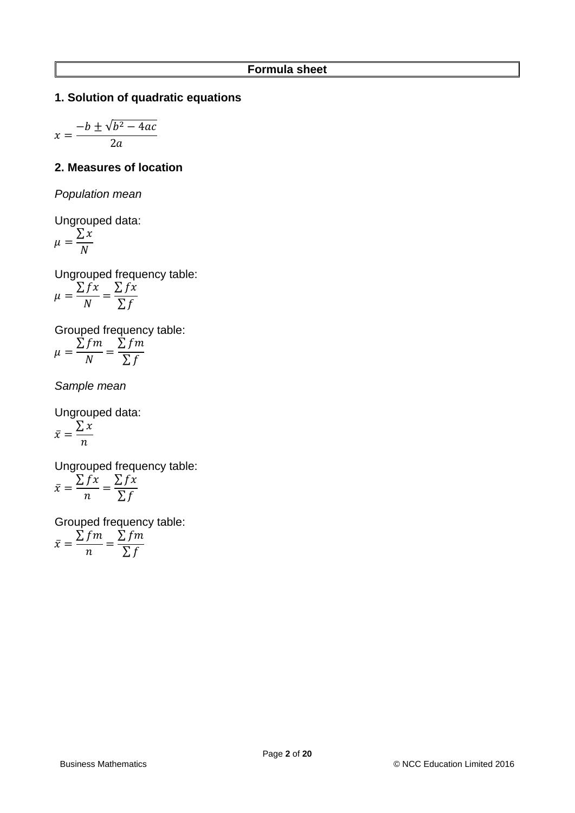# **1. Solution of quadratic equations**

$$
x = \frac{-b \pm \sqrt{b^2 - 4ac}}{2a}
$$

## **2. Measures of location**

*Population mean*

Ungrouped data:

$$
\mu = \frac{\sum x}{N}
$$

Ungrouped frequency table:

$$
\mu = \frac{\sum fx}{N} = \frac{\sum fx}{\sum f}
$$

Grouped frequency table:  $\Sigma$ fm  $\Sigma$ fm

$$
\mu = \frac{\sum f}{N} = \frac{\sum f}{\sum f}
$$

*Sample mean*

Ungrouped data:  $\bar{x} =$  $\sum x$  $\boldsymbol{n}$ 

Ungrouped frequency table:  $\bar{x} =$  $\sum fx$  $\boldsymbol{n}$ =  $\sum fx$ ∑f

Grouped frequency table:

$$
\bar{x} = \frac{\sum fm}{n} = \frac{\sum fm}{\sum f}
$$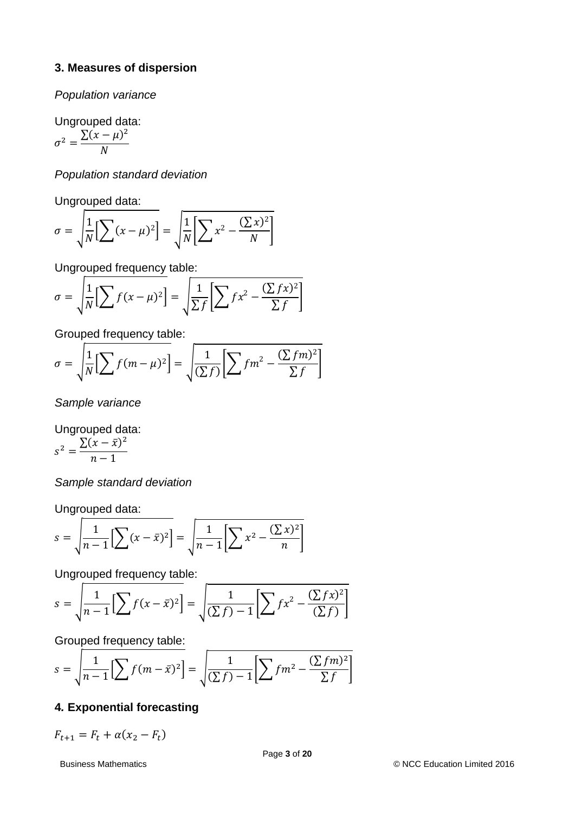## **3. Measures of dispersion**

*Population variance*

Ungrouped data:

$$
\sigma^2 = \frac{\sum (x - \mu)^2}{N}
$$

*Population standard deviation*

Ungrouped data:

$$
\sigma = \sqrt{\frac{1}{N} \left[ \sum (x - \mu)^2 \right]} = \sqrt{\frac{1}{N} \left[ \sum x^2 - \frac{(\sum x)^2}{N} \right]}
$$

Ungrouped frequency table:

$$
\sigma = \sqrt{\frac{1}{N} \left[ \sum f(x - \mu)^2 \right]} = \sqrt{\frac{1}{\sum f} \left[ \sum f x^2 - \frac{(\sum fx)^2}{\sum f} \right]}
$$

Grouped frequency table:

$$
\sigma = \sqrt{\frac{1}{N} \Big[ \sum f(m - \mu)^2 \Big]} = \sqrt{\frac{1}{(\sum f)} \Big[ \sum fm^2 - \frac{(\sum fm)^2}{\sum f} \Big]}
$$

*Sample variance*

Ungrouped data:  $s^2 = \frac{\sum (x - \bar{x})^2}{1}$  $n-1$ 

*Sample standard deviation*

Ungrouped data:

$$
s = \sqrt{\frac{1}{n-1} \Big[ \sum (x - \bar{x})^2 \Big] } = \sqrt{\frac{1}{n-1} \Big[ \sum x^2 - \frac{(\sum x)^2}{n} \Big]}
$$

Ungrouped frequency table:

$$
s = \sqrt{\frac{1}{n-1} \Big[ \sum f(x - \bar{x})^2 \Big]} = \sqrt{\frac{1}{(\sum f)^2 - 1} \Big[ \sum f(x^2 - \frac{(\sum fx)^2}{(\sum f)} \Big]}
$$

Grouped frequency table:

$$
s = \sqrt{\frac{1}{n-1} \left[ \sum f(m - \bar{x})^2 \right]} = \sqrt{\frac{1}{(\sum f)^2 - 1} \left[ \sum fm^2 - \frac{(\sum fm)^2}{\sum f} \right]}
$$

# **4***.* **Exponential forecasting**

 $F_{t+1} = F_t + \alpha (x_2 - F_t)$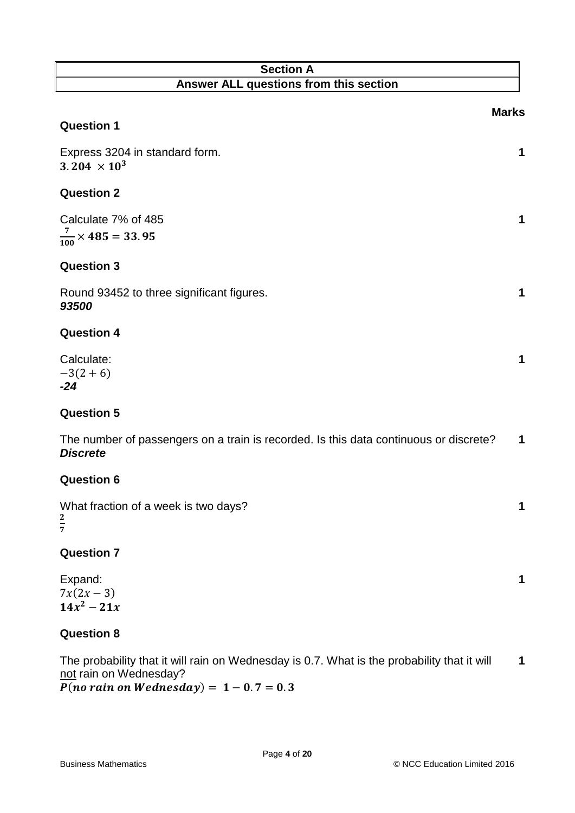# **Section A Answer ALL questions from this section**

|                                                                                                                       | <b>Marks</b> |
|-----------------------------------------------------------------------------------------------------------------------|--------------|
| <b>Question 1</b>                                                                                                     |              |
| Express 3204 in standard form.<br>$3.204 \times 10^{3}$                                                               | 1            |
| <b>Question 2</b>                                                                                                     |              |
| Calculate 7% of 485<br>$\frac{7}{100} \times 485 = 33.95$                                                             | 1            |
| <b>Question 3</b>                                                                                                     |              |
| Round 93452 to three significant figures.<br>93500                                                                    | 1            |
| <b>Question 4</b>                                                                                                     |              |
| Calculate:<br>$-3(2+6)$<br>$-24$                                                                                      | 1            |
| <b>Question 5</b>                                                                                                     |              |
| The number of passengers on a train is recorded. Is this data continuous or discrete?<br><b>Discrete</b>              | 1            |
| <b>Question 6</b>                                                                                                     |              |
| What fraction of a week is two days?<br>$rac{2}{7}$                                                                   | 1            |
| <b>Question 7</b>                                                                                                     |              |
| Expand:<br>$7x(2x-3)$<br>$14x^2 - 21x$                                                                                | 1            |
| <b>Question 8</b>                                                                                                     |              |
| The probability that it will rain on Wednesday is 0.7. What is the probability that it will<br>not rain on Wednesday? | 1            |

 $\overline{P(no rain on Wednesday)} = 1 - 0.7 = 0.3$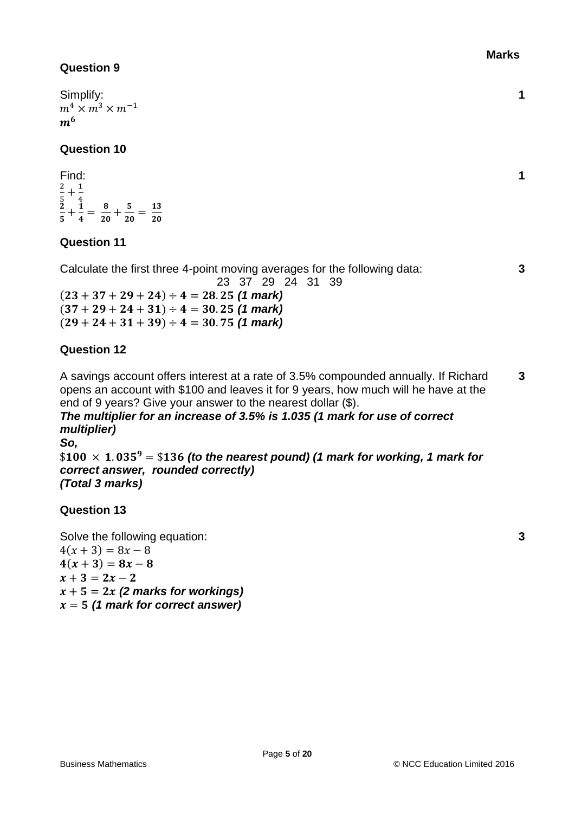Simplify:  $m^4 \times m^3 \times m^{-1}$  $m<sup>6</sup>$ 

## **Question 10**

Find: 2  $\frac{2}{5} + \frac{1}{4}$  $\begin{array}{cc} 5 & 4 \ 2 & 1 \end{array}$  $\frac{2}{5} + \frac{1}{4}$  $\frac{1}{4} = \frac{8}{20}$  $\frac{8}{20} + \frac{5}{20}$  $\frac{5}{20} = \frac{13}{20}$ 20

# **Question 11**

Calculate the first three 4-point moving averages for the following data: 23 37 29 24 31 39

 $(23 + 37 + 29 + 24) \div 4 = 28.25$  (1 mark)  $(37 + 29 + 24 + 31) \div 4 = 30.25$  (1 mark)  $(29 + 24 + 31 + 39) \div 4 = 30.75$  (1 mark)

# **Question 12**

A savings account offers interest at a rate of 3.5% compounded annually. If Richard opens an account with \$100 and leaves it for 9 years, how much will he have at the end of 9 years? Give your answer to the nearest dollar (\$). **3**

## *The multiplier for an increase of 3.5% is 1.035 (1 mark for use of correct multiplier)*

*So,*

 $$100 \times 1.035^{9} = $136$  (to the nearest pound) (1 mark for working, 1 mark for *correct answer, rounded correctly) (Total 3 marks)*

# **Question 13**

Solve the following equation:  $4(x + 3) = 8x - 8$  $4(x + 3) = 8x - 8$  $x + 3 = 2x - 2$  $x + 5 = 2x$  (2 marks for workings)  $x = 5$  (1 mark for correct answer)

**1**

**1**

**3**

**3**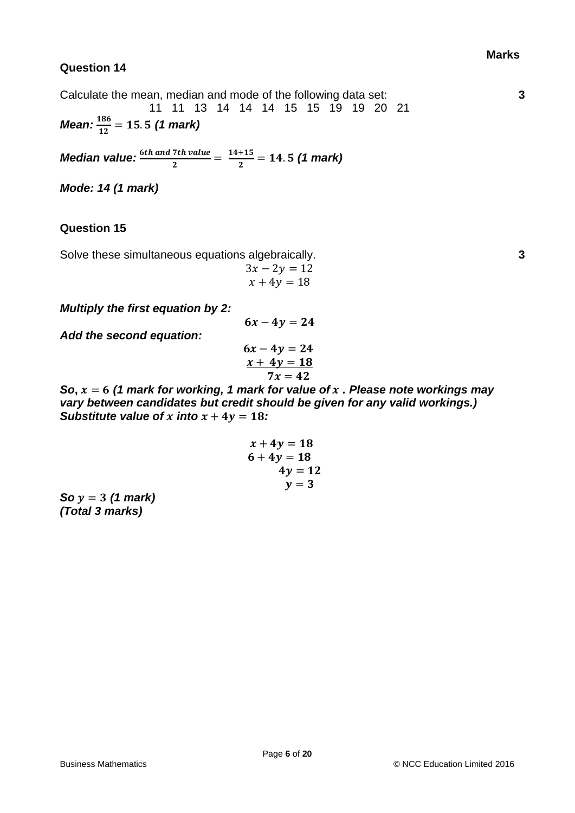Calculate the mean, median and mode of the following data set: 11 11 13 14 14 14 15 15 19 19 20 21 *Mean:*  $\frac{186}{12}$  = 15.5 (1 mark)

*Median value:*  $\frac{6th \text{ and } 7th \text{ value}}{2} = \frac{14+15}{2}$  $\frac{+15}{2}$  = 14.5 (1 mark)

*Mode: 14 (1 mark)*

### **Question 15**

Solve these simultaneous equations algebraically.

$$
3x - 2y = 12
$$
  

$$
x + 4y = 18
$$

*Multiply the first equation by 2:*

*Add the second equation:*

$$
6x-4y=24
$$
  

$$
\underline{x+4y=18}
$$
  

$$
7x=42
$$

 $6x - 4y = 24$ 

*So***,**  = *(1 mark for working, 1 mark for value of . Please note workings may vary between candidates but credit should be given for any valid workings.) Substitute value of x into*  $x + 4y = 18$ *:* 

$$
x + 4y = 186 + 4y = 184y = 12y = 3
$$

*So*  $y = 3$  (1 mark) *(Total 3 marks)*

**3**

**3**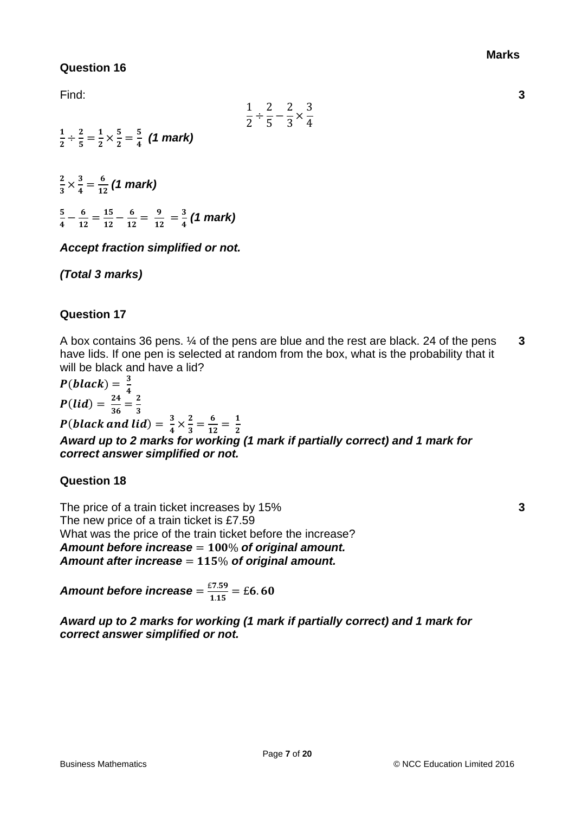**3**

# **Question 16**

Find:

|  | {  | 2 |
|--|----|---|
|  | 5. |   |

1  $\frac{1}{2} \div \frac{2}{5}$  $\frac{2}{5} = \frac{1}{2}$  $\frac{1}{2} \times \frac{5}{2}$  $\frac{5}{2} = \frac{5}{4}$ *(1 mark)*

2  $\frac{2}{3} \times \frac{3}{4}$  $\frac{3}{4} = \frac{6}{12}$  $\frac{6}{12}$  (1 mark) 5  $\frac{5}{4} - \frac{6}{12}$  $\frac{6}{12}=\frac{15}{12}$  $\frac{15}{12}-\frac{6}{12}$  $\frac{6}{12} = \frac{9}{12}$  $\frac{9}{12}=\frac{3}{4}$ *(1 mark)*

*Accept fraction simplified or not.*

*(Total 3 marks)*

# **Question 17**

A box contains 36 pens. ¼ of the pens are blue and the rest are black. 24 of the pens have lids. If one pen is selected at random from the box, what is the probability that it will be black and have a lid? **3**

 $P(black) = \frac{3}{4}$ 4  $P(lid) = \frac{24}{36}$  $\frac{24}{36} = \frac{2}{3}$ 3 P(black and lid) =  $\frac{3}{4}$  $\frac{3}{4} \times \frac{2}{3}$  $\frac{2}{3} = \frac{6}{12}$  $\frac{6}{12} = \frac{1}{2}$  $\mathbf{z}$ *Award up to 2 marks for working (1 mark if partially correct) and 1 mark for correct answer simplified or not.*

## **Question 18**

The price of a train ticket increases by 15% The new price of a train ticket is £7.59 What was the price of the train ticket before the increase? Amount before increase = 100% of original amount. Amount after increase = 115% of original amount.

Amount before increase  $=$   $\frac{\varepsilon7.59}{1.15}$   $=$   $\varepsilon6.60$ 

*Award up to 2 marks for working (1 mark if partially correct) and 1 mark for correct answer simplified or not.*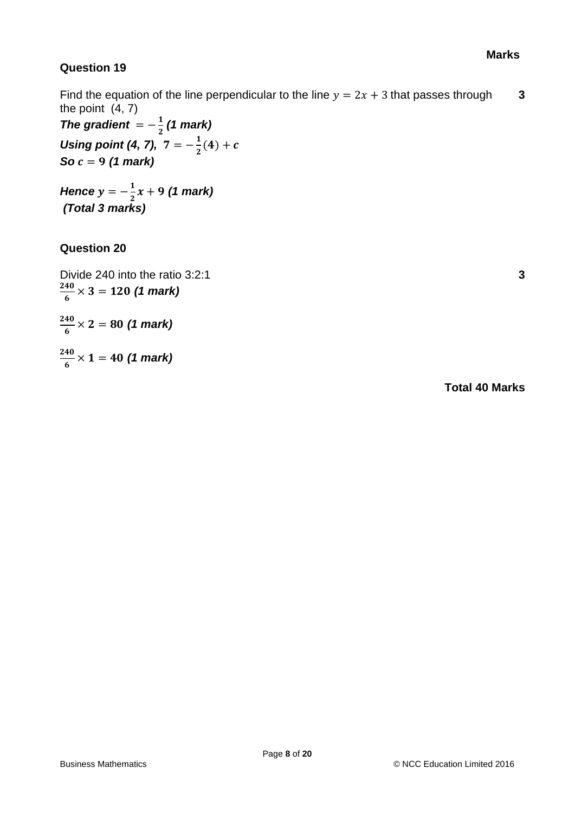Find the equation of the line perpendicular to the line  $y = 2x + 3$  that passes through the point (4, 7) **3**

*The gradient*  $=-\frac{1}{2}$  *(1 mark) Using point (4, 7),*  $7 = -\frac{1}{3}$  $\frac{1}{2}(4) + c$ *So c* = 9 (1 mark)

*Hence*  $y = -\frac{1}{3}$  $\frac{1}{2}x + 9$  (1 mark) *(Total 3 marks)*

# **Question 20**

Divide 240 into the ratio 3:2:1 **3** 240  $\frac{40}{6}$   $\times$  3 = 120 (1 mark)

240  $\frac{40}{6}$   $\times$  2 = 80 (1 mark)

240  $\frac{40}{6} \times 1 = 40$  (1 mark)

**Total 40 Marks**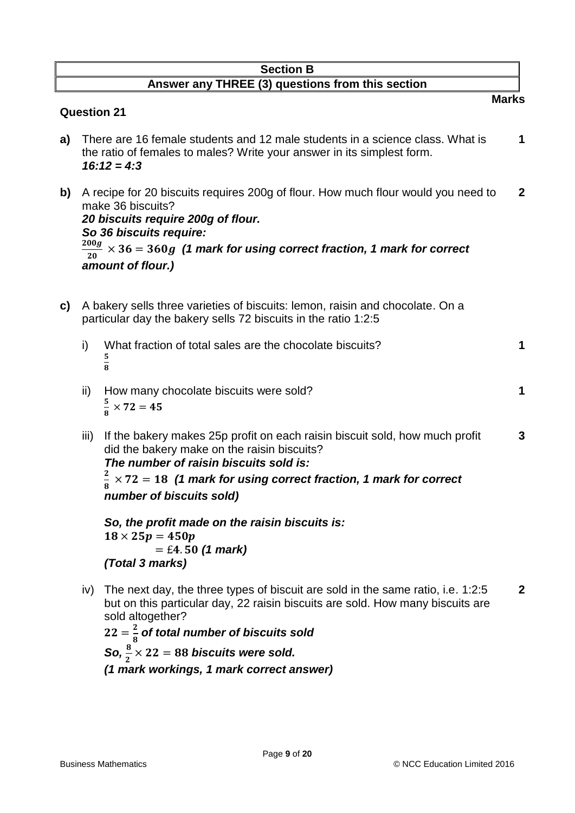## **Section B Answer any THREE (3) questions from this section**

### **Question 21**

- **a)** There are 16 female students and 12 male students in a science class. What is the ratio of females to males? Write your answer in its simplest form. **1** *16:12 = 4:3*
- **b)** A recipe for 20 biscuits requires 200g of flour. How much flour would you need to make 36 biscuits? **2** *20 biscuits require 200g of flour. So 36 biscuits require:*  $200g$  $\frac{1}{200}$   $\times$  36 = 360g (1 mark for using correct fraction, 1 mark for correct *amount of flour.)*
- **c)** A bakery sells three varieties of biscuits: lemon, raisin and chocolate. On a particular day the bakery sells 72 biscuits in the ratio 1:2:5
	- i) What fraction of total sales are the chocolate biscuits? **1** 5  $\overline{8}$
	- ii) How many chocolate biscuits were sold? **1** 5  $\frac{3}{8} \times 72 = 45$
	- iii) If the bakery makes 25p profit on each raisin biscuit sold, how much profit did the bakery make on the raisin biscuits? **3** *The number of raisin biscuits sold is:*  $\mathbf{z}$  $\times$  72 = 18 (1 mark for using correct fraction, 1 mark for correct

8 *number of biscuits sold)*

*So, the profit made on the raisin biscuits is:*  $18 \times 25p = 450p$  $=$  £4.50 (1 mark) *(Total 3 marks)*

iv) The next day, the three types of biscuit are sold in the same ratio, i.e. 1:2:5 but on this particular day, 22 raisin biscuits are sold. How many biscuits are sold altogether? **2**

 $22=\frac{2}{5}$  $\frac{2}{8}$  of total number of biscuits sold  $\textsf{So,} \frac{8}{2} \times 22 = 88 \textit{biscuits}$  were sold. *(1 mark workings, 1 mark correct answer)* **Marks**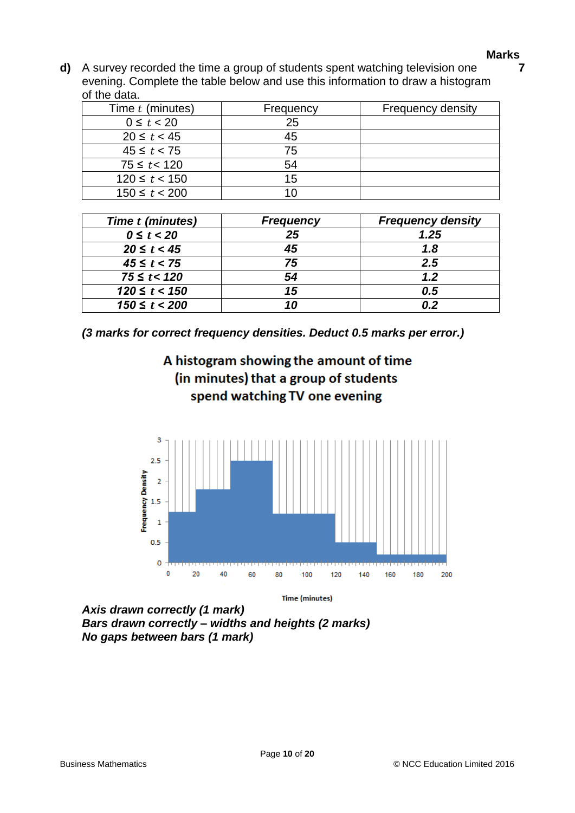**7**

**d)** A survey recorded the time a group of students spent watching television one evening. Complete the table below and use this information to draw a histogram of the data.

| Time t (minutes)  | Frequency | <b>Frequency density</b> |
|-------------------|-----------|--------------------------|
| $0 \le t < 20$    | 25        |                          |
| $20 \le t < 45$   | 45        |                          |
| $45 \le t < 75$   | 75        |                          |
| $75 \le t < 120$  | 54        |                          |
| $120 \le t < 150$ | 15        |                          |
| $150 \le t < 200$ |           |                          |

| Time t (minutes)  | <b>Frequency</b> | <b>Frequency density</b> |
|-------------------|------------------|--------------------------|
| $0 \le t < 20$    | 25               | 1.25                     |
| $20 \le t < 45$   | 45               | 1.8                      |
| $45 \le t < 75$   | 75               | 2.5                      |
| $75 \le t < 120$  | 54               | 1.2                      |
| $120 \le t < 150$ | 15               | 0.5                      |
| $150 \le t < 200$ |                  |                          |

*(3 marks for correct frequency densities. Deduct 0.5 marks per error.)*





**Time (minutes)** 

*Axis drawn correctly (1 mark) Bars drawn correctly – widths and heights (2 marks) No gaps between bars (1 mark)*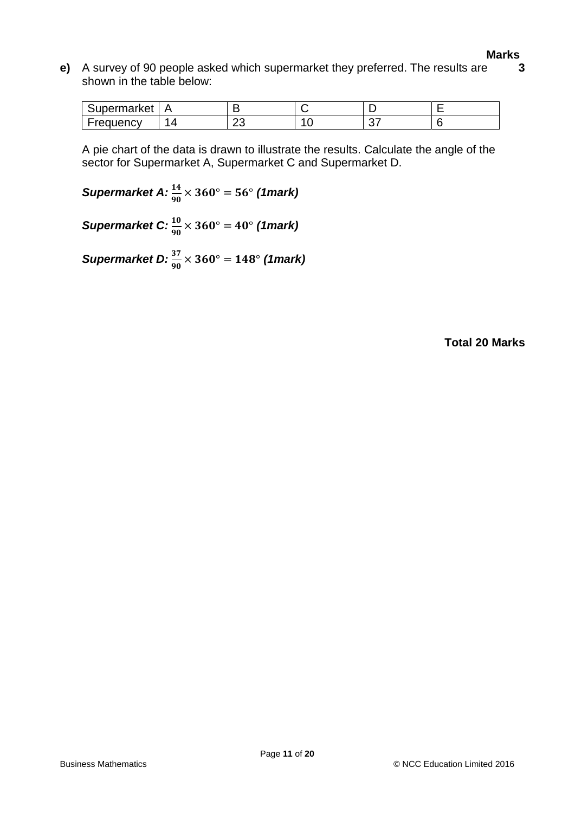**e)** A survey of 90 people asked which supermarket they preferred. The results are shown in the table below: **3**

| Supermarket      |    |          |  |
|------------------|----|----------|--|
| <b>Frequency</b> | -- | ~-<br>J. |  |

A pie chart of the data is drawn to illustrate the results. Calculate the angle of the sector for Supermarket A, Supermarket C and Supermarket D.

 $Supermarket A:  $\frac{14}{90} \times 360^{\circ} = 56^{\circ}$  (1mark)$ 

 $\textsf{Supermarket C: } \frac{10}{90} \times 360^{\circ} = 40^{\circ} \text{ (1mark)}$ 

 $Supermarket D:  $\frac{37}{90} \times 360^{\circ} = 148^{\circ}$  (1mark)$ 

**Total 20 Marks**

**Marks**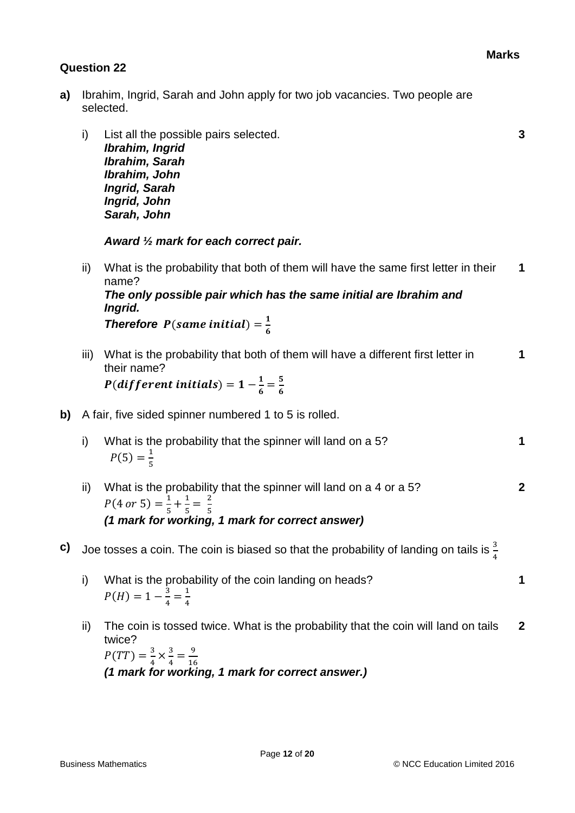- **a)** Ibrahim, Ingrid, Sarah and John apply for two job vacancies. Two people are selected.
	- i) List all the possible pairs selected. **3** *Ibrahim, Ingrid Ibrahim, Sarah Ibrahim, John Ingrid, Sarah Ingrid, John Sarah, John*

*Award ½ mark for each correct pair.*

- ii) What is the probability that both of them will have the same first letter in their name? **1** *The only possible pair which has the same initial are Ibrahim and Ingrid.* **Therefore**  $P$ (same initial) =  $\frac{1}{6}$ 6
- iii) What is the probability that both of them will have a different first letter in their name? **1**  $P(dfferent\;initials) = 1 - \frac{1}{6}$  $\frac{1}{6} = \frac{5}{6}$

6

- **b)** A fair, five sided spinner numbered 1 to 5 is rolled.
	- i) What is the probability that the spinner will land on a 5? **1**  $P(5) = \frac{1}{5}$ 5
	- ii) What is the probability that the spinner will land on a 4 or a 5? **2**  $P(4 \text{ or } 5) = \frac{1}{5}$  $\frac{1}{5} + \frac{1}{5}$  $\frac{1}{5} = \frac{2}{5}$ 5 *(1 mark for working, 1 mark for correct answer)*
- **c)** Joe tosses a coin. The coin is biased so that the probability of landing on tails is  $\frac{3}{4}$ 
	- i) What is the probability of the coin landing on heads? **1**  $P(H) = 1 - \frac{3}{4}$  $\frac{3}{4} = \frac{1}{4}$ 4
	- ii) The coin is tossed twice. What is the probability that the coin will land on tails twice? **2**  $P(TT) = \frac{3}{4}$  $\frac{3}{4} \times \frac{3}{4}$  $\frac{3}{4} = \frac{9}{16}$ 16 *(1 mark for working, 1 mark for correct answer.)*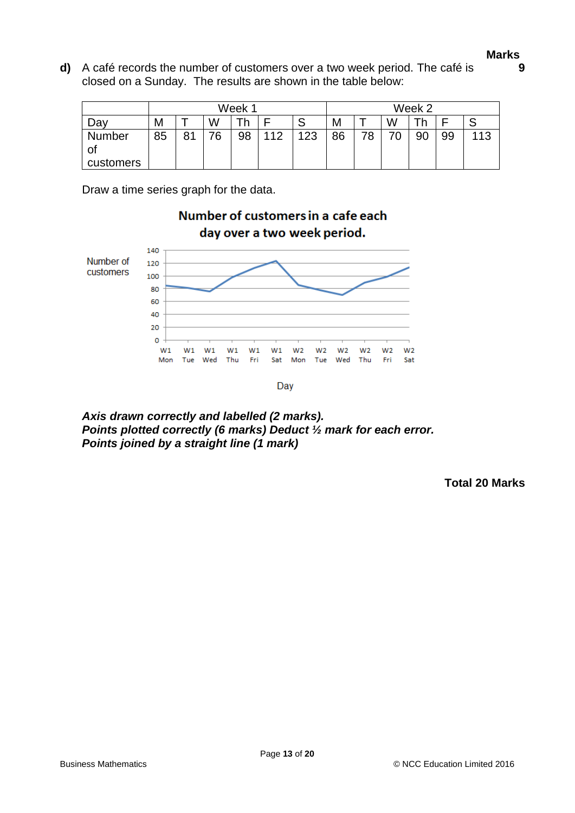**9**

**d)** A café records the number of customers over a two week period. The café is closed on a Sunday. The results are shown in the table below:

|              | Week 1 |    |    |    |     |     |    | Week 2 |    |    |    |     |
|--------------|--------|----|----|----|-----|-----|----|--------|----|----|----|-----|
| Da۱          | Μ      |    | W  |    |     | ບ   | M  |        | W  |    |    |     |
| Number<br>Οt | 85     | 81 | 76 | 98 | 112 | 123 | 86 | 78     | 70 | 90 | 99 | 113 |
| customers    |        |    |    |    |     |     |    |        |    |    |    |     |

Number of customers in a cafe each

Draw a time series graph for the data.



*Axis drawn correctly and labelled (2 marks). Points plotted correctly (6 marks) Deduct ½ mark for each error. Points joined by a straight line (1 mark)*

**Total 20 Marks**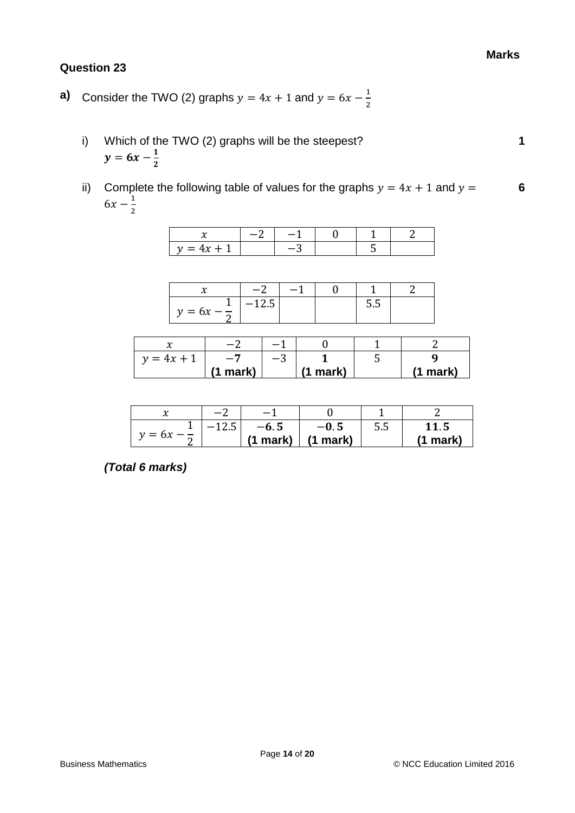- **a)** Consider the TWO (2) graphs  $y = 4x + 1$  and  $y = 6x \frac{1}{3}$ 2
	- i) Which of the TWO (2) graphs will be the steepest? **1**  $y = 6x - \frac{1}{2}$  $\mathbf{z}$
	- ii) Complete the following table of values for the graphs  $y = 4x + 1$  and  $y =$  $6x - \frac{1}{2}$ 2 **6**

|  | $\sim$ |  |  |
|--|--------|--|--|

|                        | -<br>$\overline{\phantom{0}}$ |  |     |  |
|------------------------|-------------------------------|--|-----|--|
| $y = 6x - \frac{1}{6}$ | 14.J                          |  | o.o |  |

| $y = 4x + 1$ | $-1$     | $-\circ$ |          |          |
|--------------|----------|----------|----------|----------|
|              | (1 mark) |          | (1 mark) | (1 mark) |

| ้ั∿      | c       |          |          |     |             |  |
|----------|---------|----------|----------|-----|-------------|--|
|          | $-12.5$ | $-6.5$   | $-0.5$   | 5.5 | 11.5        |  |
| $y = 6x$ |         | (1 mark) | (1 mark) |     | mark)<br>Ί. |  |

*(Total 6 marks)*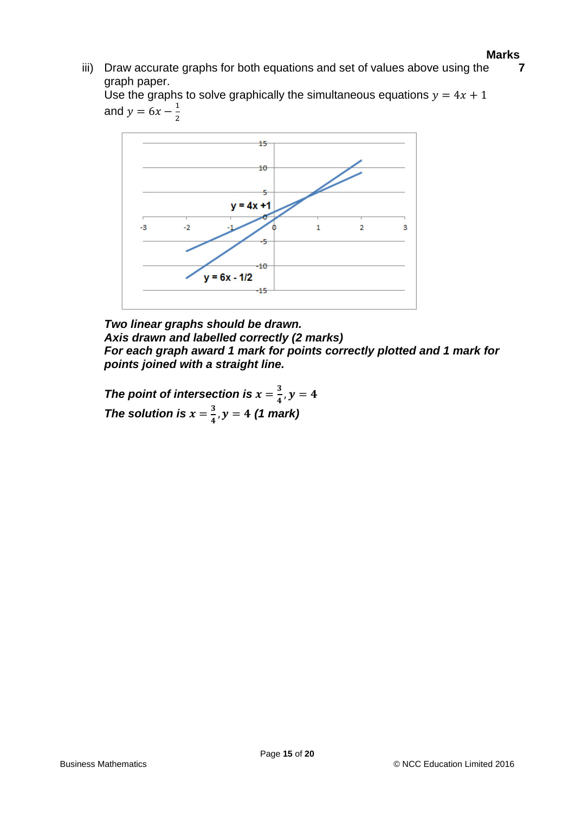iii) Draw accurate graphs for both equations and set of values above using the graph paper. **7**

Use the graphs to solve graphically the simultaneous equations  $y = 4x + 1$ and  $y = 6x - \frac{1}{3}$ 2



*Two linear graphs should be drawn. Axis drawn and labelled correctly (2 marks) For each graph award 1 mark for points correctly plotted and 1 mark for points joined with a straight line.*

*The point of intersection is*  $x = \frac{3}{4}$  $\frac{3}{4}$ ,  $y = 4$ *The solution is*  $x = \frac{3}{4}$  $\frac{3}{4}$ ,  $y = 4$  (1 mark)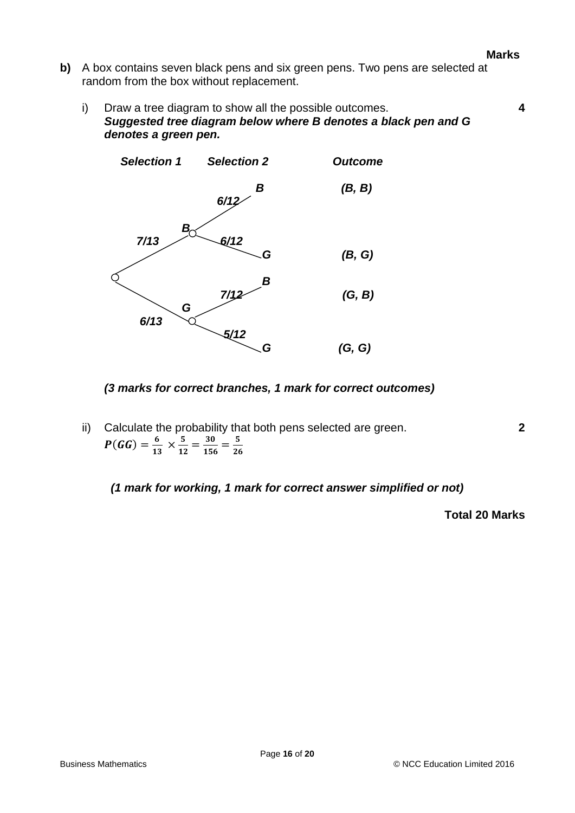- **b)** A box contains seven black pens and six green pens. Two pens are selected at random from the box without replacement.
	- i) Draw a tree diagram to show all the possible outcomes. **4** *Suggested tree diagram below where B denotes a black pen and G denotes a green pen.*



### *(3 marks for correct branches, 1 mark for correct outcomes)*

ii) Calculate the probability that both pens selected are green. **2**  $P(GG) = \frac{6}{17}$  $rac{6}{13} \times \frac{5}{12}$  $\frac{5}{12} = \frac{30}{156} = \frac{5}{26}$ 26

*(1 mark for working, 1 mark for correct answer simplified or not)*

**Total 20 Marks**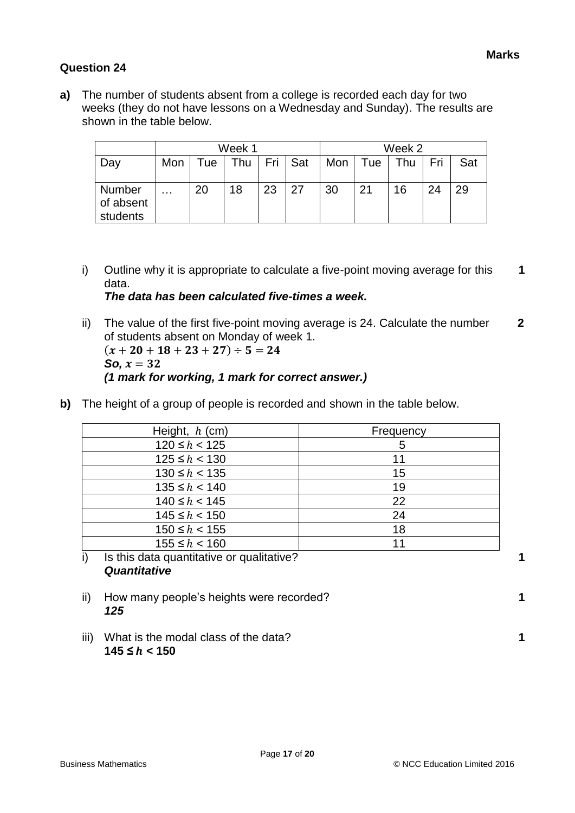**a)** The number of students absent from a college is recorded each day for two weeks (they do not have lessons on a Wednesday and Sunday). The results are shown in the table below.

|                                 | Week 1   |      |     |    | Week 2  |             |     |     |     |     |
|---------------------------------|----------|------|-----|----|---------|-------------|-----|-----|-----|-----|
| Day                             | Mon      | l ue | Thu |    | Fri Sat | Mon $\vert$ | Tue | Thu | Fri | Sat |
| Number<br>of absent<br>students | $\cdots$ | 20   | 18  | 23 | 27      | 30          | 21  | 16  | 24  | 29  |

- i) Outline why it is appropriate to calculate a five-point moving average for this data. **1** *The data has been calculated five-times a week.*
- ii) The value of the first five-point moving average is 24. Calculate the number of students absent on Monday of week 1.  **2**  $(x + 20 + 18 + 23 + 27) \div 5 = 24$ *So,*  $x = 32$ *(1 mark for working, 1 mark for correct answer.)*
- **b)** The height of a group of people is recorded and shown in the table below.

| 5  |
|----|
| 11 |
| 15 |
| 19 |
| 22 |
| 24 |
| 18 |
| 11 |
|    |

# i) Is this data quantitative or qualitative? **1** *Quantitative*

- ii) How many people's heights were recorded? **1** *125*
- iii) What is the modal class of the data? **1**  $145 ≤ h < 150$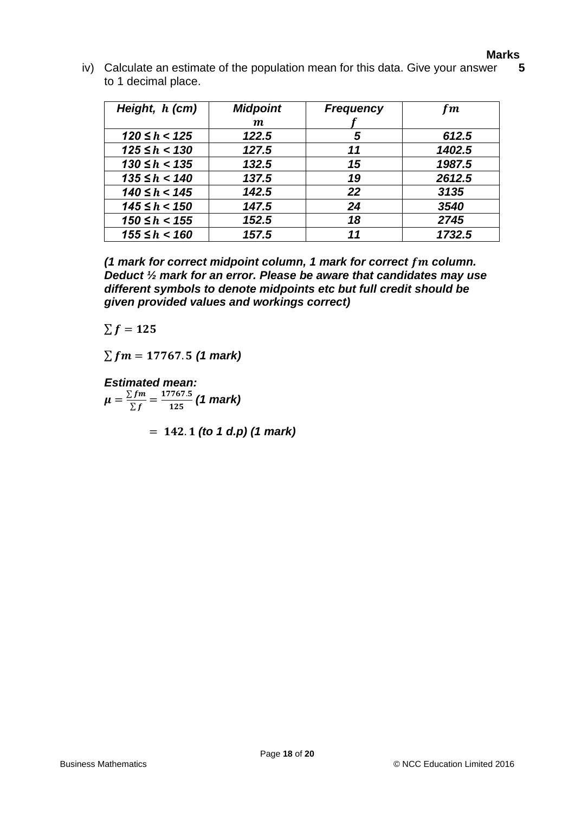iv) Calculate an estimate of the population mean for this data. Give your answer to 1 decimal place. **5**

| Height, h (cm)     | <b>Midpoint</b>  | <b>Frequency</b> | fm     |
|--------------------|------------------|------------------|--------|
|                    | $\boldsymbol{m}$ |                  |        |
| $120 \leq h < 125$ | 122.5            | 5                | 612.5  |
| $125 \leq h < 130$ | 127.5            | 11               | 1402.5 |
| $130 \le h < 135$  | 132.5            | 15               | 1987.5 |
| $135 \le h < 140$  | 137.5            | 19               | 2612.5 |
| $140 \le h < 145$  | 142.5            | 22               | 3135   |
| $145 \leq h < 150$ | 147.5            | 24               | 3540   |
| $150 \le h < 155$  | 152.5            | 18               | 2745   |
| $155 \le h < 160$  | 157.5            | 11               | 1732.5 |

*(1 mark for correct midpoint column, 1 mark for correct fm column. Deduct ½ mark for an error. Please be aware that candidates may use different symbols to denote midpoints etc but full credit should be given provided values and workings correct)*

 $\Sigma f = 125$ 

 $\sum fm = 17767.5$  (1 mark)

*Estimated mean:*  $\mu = \frac{\sum fm}{\sum f}$  $\frac{C fm}{\sum f} = \frac{17767.5}{125}$  (1 mark)

 $= 142.1$  (to 1 d.p) (1 mark)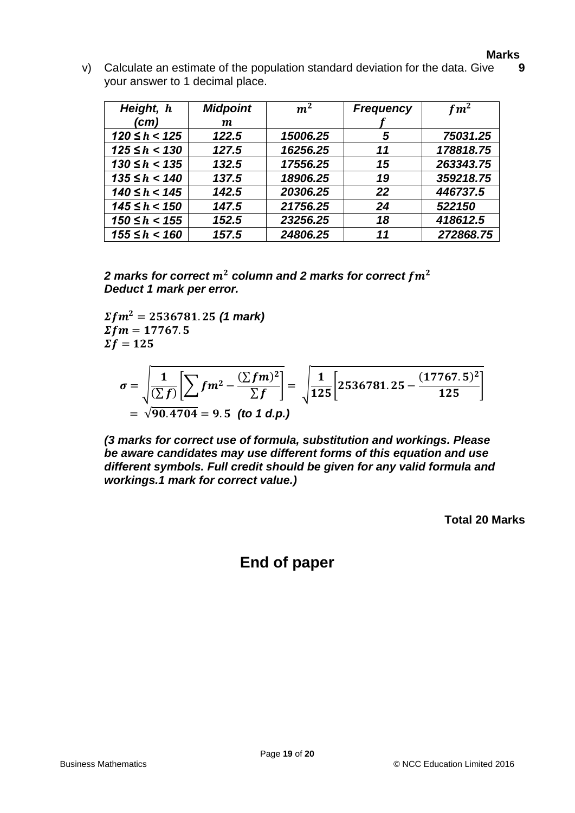v) Calculate an estimate of the population standard deviation for the data. Give your answer to 1 decimal place. **9**

| Height, h          | <b>Midpoint</b>  | m <sup>2</sup> | <b>Frequency</b> | $fm^2$    |
|--------------------|------------------|----------------|------------------|-----------|
| (cm)               | $\boldsymbol{m}$ |                |                  |           |
| $120 \leq h < 125$ | 122.5            | 15006.25       | 5                | 75031.25  |
| $125 \leq h < 130$ | 127.5            | 16256.25       | 11               | 178818.75 |
| $130 \le h < 135$  | 132.5            | 17556.25       | 15               | 263343.75 |
| $135 \le h < 140$  | 137.5            | 18906.25       | 19               | 359218.75 |
| $140 \le h < 145$  | 142.5            | 20306.25       | 22               | 446737.5  |
| $145 \leq h < 150$ | 147.5            | 21756.25       | 24               | 522150    |
| $150 \leq h < 155$ | 152.5            | 23256.25       | 18               | 418612.5  |
| $155 \leq h < 160$ | 157.5            | 24806.25       | 11               | 272868.75 |

2 marks for correct  $m^2$  column and 2 marks for correct  $fm^2$ *Deduct 1 mark per error.*

 $\Sigma fm^2 = 2536781.25$  (1 mark)  $\Sigma fm = 17767.5$  $\Sigma f = 125$ 

$$
\sigma = \sqrt{\frac{1}{(\sum f)} \left[ \sum fm^2 - \frac{(\sum fm)^2}{\sum f} \right]} = \sqrt{\frac{1}{125} \left[ 2536781.25 - \frac{(17767.5)^2}{125} \right]}
$$
  
=  $\sqrt{90.4704} = 9.5$  (to 1 d.p.)

*(3 marks for correct use of formula, substitution and workings. Please be aware candidates may use different forms of this equation and use different symbols. Full credit should be given for any valid formula and workings.1 mark for correct value.)*

**Total 20 Marks**

# **End of paper**